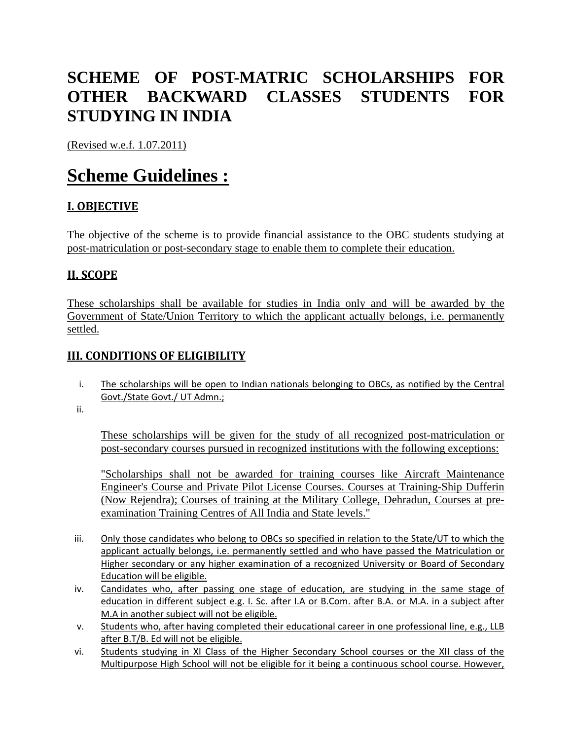# **SCHEME OF POST-MATRIC SCHOLARSHIPS FOR OTHER BACKWARD CLASSES STUDENTS FOR STUDYING IN INDIA**

(Revised w.e.f. 1.07.2011)

# **Scheme Guidelines :**

## **I. OBJECTIVE**

The objective of the scheme is to provide financial assistance to the OBC students studying at post-matriculation or post-secondary stage to enable them to complete their education.

## **II. SCOPE**

These scholarships shall be available for studies in India only and will be awarded by the Government of State/Union Territory to which the applicant actually belongs, i.e. permanently settled.

## **III. CONDITIONS OF ELIGIBILITY**

i. The scholarships will be open to Indian nationals belonging to OBCs, as notified by the Central Govt./State Govt./ UT Admn.;

ii.

These scholarships will be given for the study of all recognized post-matriculation or post-secondary courses pursued in recognized institutions with the following exceptions:

"Scholarships shall not be awarded for training courses like Aircraft Maintenance Engineer's Course and Private Pilot License Courses. Courses at Training-Ship Dufferin (Now Rejendra); Courses of training at the Military College, Dehradun, Courses at preexamination Training Centres of All India and State levels."

- iii. Only those candidates who belong to OBCs so specified in relation to the State/UT to which the applicant actually belongs, i.e. permanently settled and who have passed the Matriculation or Higher secondary or any higher examination of a recognized University or Board of Secondary Education will be eligible.
- iv. Candidates who, after passing one stage of education, are studying in the same stage of education in different subject e.g. I. Sc. after I.A or B.Com. after B.A. or M.A. in a subiect after M.A in another subject will not be eligible.
- v. Students who, after having completed their educational career in one professional line, e.g., LLB after B.T/B. Ed will not be eligible.
- vi. Students studying in XI Class of the Higher Secondary School courses or the XII class of the Multipurpose High School will not be eligible for it being a continuous school course. However,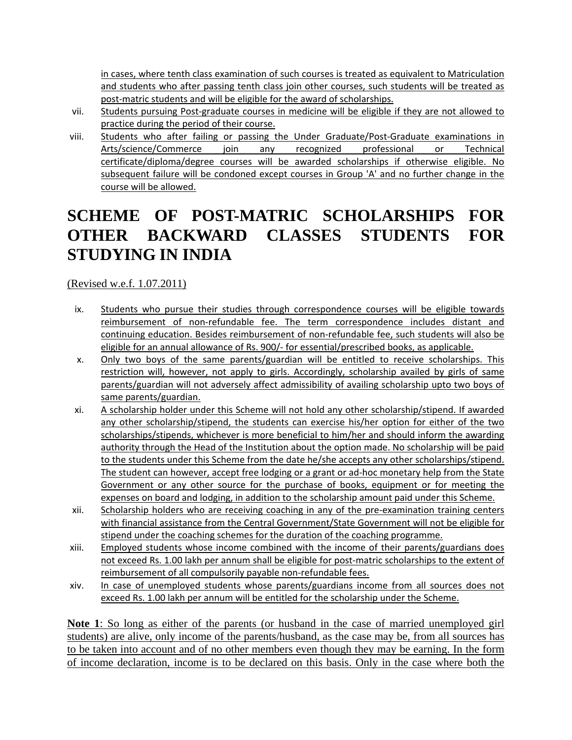in cases, where tenth class examination of such courses is treated as equivalent to Matriculation and students who after passing tenth class join other courses, such students will be treated as post-matric students and will be eligible for the award of scholarships.

- vii. Students pursuing Post-graduate courses in medicine will be eligible if they are not allowed to practice during the period of their course.
- viii. Students who after failing or passing the Under Graduate/Post-Graduate examinations in Arts/science/Commerce join any recognized professional or Technical certificate/diploma/degree courses will be awarded scholarships if otherwise eligible. No subsequent failure will be condoned except courses in Group 'A' and no further change in the course will be allowed.

# **SCHEME OF POST-MATRIC SCHOLARSHIPS FOR OTHER BACKWARD CLASSES STUDENTS FOR STUDYING IN INDIA**

(Revised w.e.f. 1.07.2011)

- ix. Students who pursue their studies through correspondence courses will be eligible towards reimbursement of non-refundable fee. The term correspondence includes distant and continuing education. Besides reimbursement of non-refundable fee, such students will also be eligible for an annual allowance of Rs. 900/- for essential/prescribed books, as applicable.
- x. Only two boys of the same parents/guardian will be entitled to receive scholarships. This restriction will, however, not apply to girls. Accordingly, scholarship availed by girls of same parents/guardian will not adversely affect admissibility of availing scholarship upto two boys of same parents/guardian.
- xi. A scholarship holder under this Scheme will not hold any other scholarship/stipend. If awarded any other scholarship/stipend, the students can exercise his/her option for either of the two scholarships/stipends, whichever is more beneficial to him/her and should inform the awarding authority through the Head of the Institution about the option made. No scholarship will be paid to the students under this Scheme from the date he/she accepts any other scholarships/stipend. The student can however, accept free lodging or a grant or ad-hoc monetary help from the State Government or any other source for the purchase of books, equipment or for meeting the expenses on board and lodging, in addition to the scholarship amount paid under this Scheme.
- xii. Scholarship holders who are receiving coaching in any of the pre-examination training centers with financial assistance from the Central Government/State Government will not be eligible for stipend under the coaching schemes for the duration of the coaching programme.
- xiii. Employed students whose income combined with the income of their parents/guardians does not exceed Rs. 1.00 lakh per annum shall be eligible for post-matric scholarships to the extent of reimbursement of all compulsorily payable non-refundable fees.
- xiv. In case of unemployed students whose parents/guardians income from all sources does not exceed Rs. 1.00 lakh per annum will be entitled for the scholarship under the Scheme.

**Note 1**: So long as either of the parents (or husband in the case of married unemployed girl students) are alive, only income of the parents/husband, as the case may be, from all sources has to be taken into account and of no other members even though they may be earning. In the form of income declaration, income is to be declared on this basis. Only in the case where both the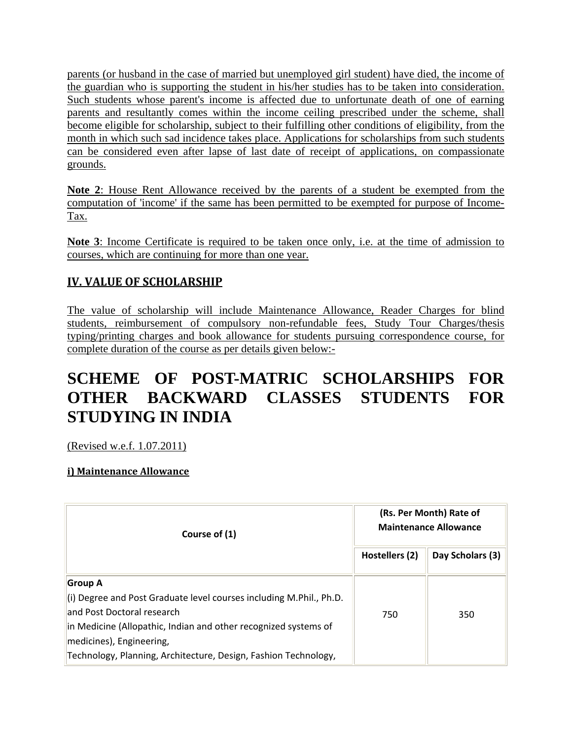parents (or husband in the case of married but unemployed girl student) have died, the income of the guardian who is supporting the student in his/her studies has to be taken into consideration. Such students whose parent's income is affected due to unfortunate death of one of earning parents and resultantly comes within the income ceiling prescribed under the scheme, shall become eligible for scholarship, subject to their fulfilling other conditions of eligibility, from the month in which such sad incidence takes place. Applications for scholarships from such students can be considered even after lapse of last date of receipt of applications, on compassionate grounds.

**Note 2**: House Rent Allowance received by the parents of a student be exempted from the computation of 'income' if the same has been permitted to be exempted for purpose of Income-Tax.

**Note 3**: Income Certificate is required to be taken once only, i.e. at the time of admission to courses, which are continuing for more than one year.

## **IV. VALUE OF SCHOLARSHIP**

The value of scholarship will include Maintenance Allowance, Reader Charges for blind students, reimbursement of compulsory non-refundable fees, Study Tour Charges/thesis typing/printing charges and book allowance for students pursuing correspondence course, for complete duration of the course as per details given below:-

# **SCHEME OF POST-MATRIC SCHOLARSHIPS FOR OTHER BACKWARD CLASSES STUDENTS FOR STUDYING IN INDIA**

(Revised w.e.f. 1.07.2011)

### **i) Maintenance Allowance**

| Course of (1)                                                                                                                                                                                                                                                                                  | (Rs. Per Month) Rate of<br><b>Maintenance Allowance</b> |                  |
|------------------------------------------------------------------------------------------------------------------------------------------------------------------------------------------------------------------------------------------------------------------------------------------------|---------------------------------------------------------|------------------|
|                                                                                                                                                                                                                                                                                                | Hostellers (2)                                          | Day Scholars (3) |
| <b>Group A</b><br>$\vert$ (i) Degree and Post Graduate level courses including M.Phil., Ph.D.<br>land Post Doctoral research<br>in Medicine (Allopathic, Indian and other recognized systems of<br>medicines), Engineering,<br>Technology, Planning, Architecture, Design, Fashion Technology, | 750                                                     | 350              |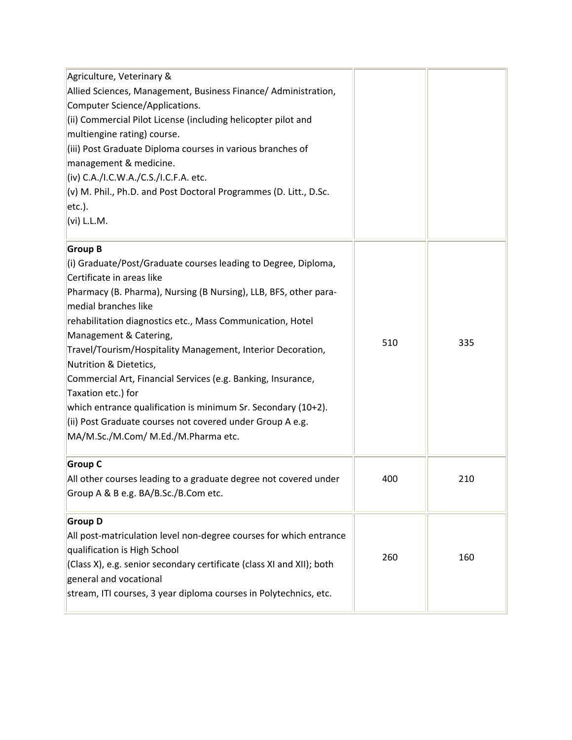| Agriculture, Veterinary &<br>Allied Sciences, Management, Business Finance/ Administration,<br><b>Computer Science/Applications.</b><br>(ii) Commercial Pilot License (including helicopter pilot and<br>multiengine rating) course.<br>(iii) Post Graduate Diploma courses in various branches of<br>management & medicine.<br>(iv) C.A./I.C.W.A./C.S./I.C.F.A. etc.<br>(v) M. Phil., Ph.D. and Post Doctoral Programmes (D. Litt., D.Sc.<br>$ $ etc.).<br>(vi) L.L.M.                                                                                                                                                                               |     |     |
|-------------------------------------------------------------------------------------------------------------------------------------------------------------------------------------------------------------------------------------------------------------------------------------------------------------------------------------------------------------------------------------------------------------------------------------------------------------------------------------------------------------------------------------------------------------------------------------------------------------------------------------------------------|-----|-----|
| <b>Group B</b><br>(i) Graduate/Post/Graduate courses leading to Degree, Diploma,<br>Certificate in areas like<br>Pharmacy (B. Pharma), Nursing (B Nursing), LLB, BFS, other para-<br>medial branches like<br>rehabilitation diagnostics etc., Mass Communication, Hotel<br>Management & Catering,<br>Travel/Tourism/Hospitality Management, Interior Decoration,<br>Nutrition & Dietetics,<br>Commercial Art, Financial Services (e.g. Banking, Insurance,<br>Taxation etc.) for<br>which entrance qualification is minimum Sr. Secondary (10+2).<br>(ii) Post Graduate courses not covered under Group A e.g.<br>MA/M.Sc./M.Com/ M.Ed./M.Pharma etc. | 510 | 335 |
| <b>Group C</b><br>All other courses leading to a graduate degree not covered under<br>Group A & B e.g. BA/B.Sc./B.Com etc.                                                                                                                                                                                                                                                                                                                                                                                                                                                                                                                            | 400 | 210 |
| <b>Group D</b><br>All post-matriculation level non-degree courses for which entrance<br>qualification is High School<br>(Class X), e.g. senior secondary certificate (class XI and XII); both<br>general and vocational<br>stream, ITI courses, 3 year diploma courses in Polytechnics, etc.                                                                                                                                                                                                                                                                                                                                                          | 260 | 160 |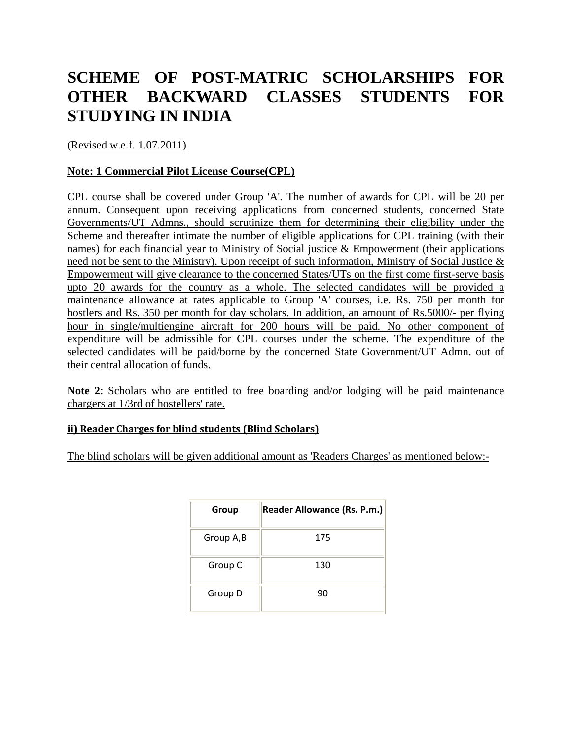# **SCHEME OF POST-MATRIC SCHOLARSHIPS FOR OTHER BACKWARD CLASSES STUDENTS FOR STUDYING IN INDIA**

(Revised w.e.f. 1.07.2011)

### **Note: 1 Commercial Pilot License Course(CPL)**

CPL course shall be covered under Group 'A'. The number of awards for CPL will be 20 per annum. Consequent upon receiving applications from concerned students, concerned State Governments/UT Admns., should scrutinize them for determining their eligibility under the Scheme and thereafter intimate the number of eligible applications for CPL training (with their names) for each financial year to Ministry of Social justice & Empowerment (their applications need not be sent to the Ministry). Upon receipt of such information, Ministry of Social Justice & Empowerment will give clearance to the concerned States/UTs on the first come first-serve basis upto 20 awards for the country as a whole. The selected candidates will be provided a maintenance allowance at rates applicable to Group 'A' courses, i.e. Rs. 750 per month for hostlers and Rs. 350 per month for day scholars. In addition, an amount of Rs.5000/- per flying hour in single/multiengine aircraft for 200 hours will be paid. No other component of expenditure will be admissible for CPL courses under the scheme. The expenditure of the selected candidates will be paid/borne by the concerned State Government/UT Admn. out of their central allocation of funds.

**Note 2**: Scholars who are entitled to free boarding and/or lodging will be paid maintenance chargers at 1/3rd of hostellers' rate.

#### **ii) Reader Charges for blind students (Blind Scholars)**

The blind scholars will be given additional amount as 'Readers Charges' as mentioned below:-

| Group     | <b>Reader Allowance (Rs. P.m.)</b> |
|-----------|------------------------------------|
| Group A,B | 175                                |
| Group C   | 130                                |
| Group D   | 90                                 |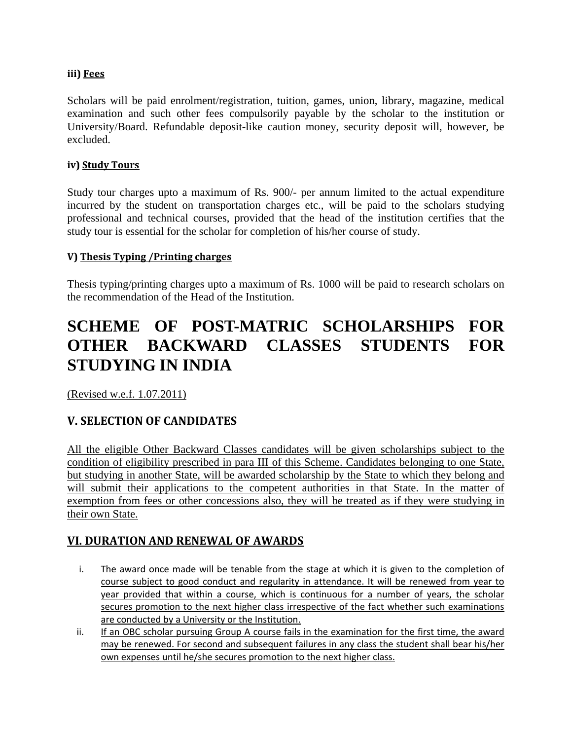### **iii) Fees**

Scholars will be paid enrolment/registration, tuition, games, union, library, magazine, medical examination and such other fees compulsorily payable by the scholar to the institution or University/Board. Refundable deposit-like caution money, security deposit will, however, be excluded.

#### **iv) Study Tours**

Study tour charges upto a maximum of Rs. 900/- per annum limited to the actual expenditure incurred by the student on transportation charges etc., will be paid to the scholars studying professional and technical courses, provided that the head of the institution certifies that the study tour is essential for the scholar for completion of his/her course of study.

### **V) Thesis Typing /Printing charges**

Thesis typing/printing charges upto a maximum of Rs. 1000 will be paid to research scholars on the recommendation of the Head of the Institution.

# **SCHEME OF POST-MATRIC SCHOLARSHIPS FOR OTHER BACKWARD CLASSES STUDENTS FOR STUDYING IN INDIA**

(Revised w.e.f. 1.07.2011)

## **V. SELECTION OF CANDIDATES**

All the eligible Other Backward Classes candidates will be given scholarships subject to the condition of eligibility prescribed in para III of this Scheme. Candidates belonging to one State, but studying in another State, will be awarded scholarship by the State to which they belong and will submit their applications to the competent authorities in that State. In the matter of exemption from fees or other concessions also, they will be treated as if they were studying in their own State.

### **VI. DURATION AND RENEWAL OF AWARDS**

- i. The award once made will be tenable from the stage at which it is given to the completion of course subject to good conduct and regularity in attendance. It will be renewed from year to year provided that within a course, which is continuous for a number of years, the scholar secures promotion to the next higher class irrespective of the fact whether such examinations are conducted by a University or the Institution.
- ii. If an OBC scholar pursuing Group A course fails in the examination for the first time, the award may be renewed. For second and subsequent failures in any class the student shall bear his/her own expenses until he/she secures promotion to the next higher class.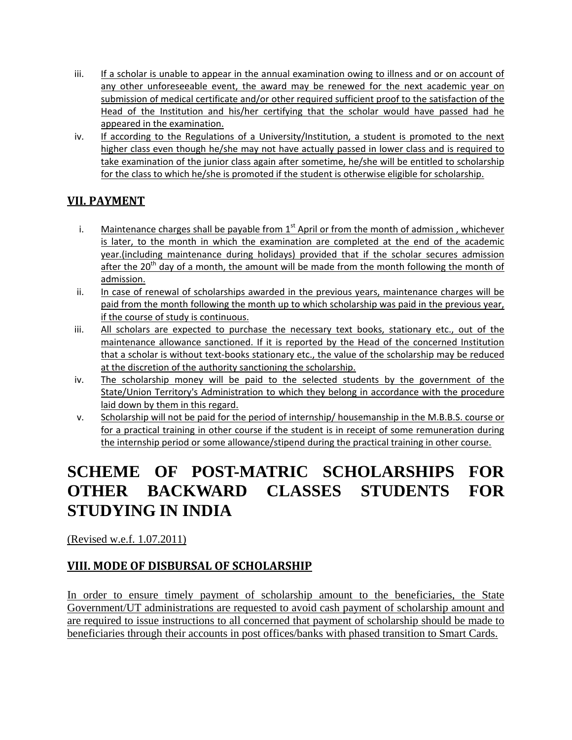- iii. If a scholar is unable to appear in the annual examination owing to illness and or on account of any other unforeseeable event, the award may be renewed for the next academic year on submission of medical certificate and/or other required sufficient proof to the satisfaction of the Head of the Institution and his/her certifying that the scholar would have passed had he appeared in the examination.
- iv. If according to the Regulations of a University/Institution, a student is promoted to the next higher class even though he/she may not have actually passed in lower class and is required to take examination of the junior class again after sometime, he/she will be entitled to scholarship for the class to which he/she is promoted if the student is otherwise eligible for scholarship.

## **VII. PAYMENT**

- i. Maintenance charges shall be payable from  $1<sup>st</sup>$  April or from the month of admission, whichever is later, to the month in which the examination are completed at the end of the academic year.(including maintenance during holidays) provided that if the scholar secures admission after the 20<sup>th</sup> day of a month, the amount will be made from the month following the month of admission.
- ii. In case of renewal of scholarships awarded in the previous years, maintenance charges will be paid from the month following the month up to which scholarship was paid in the previous year, if the course of study is continuous.
- iii. All scholars are expected to purchase the necessary text books, stationary etc., out of the maintenance allowance sanctioned. If it is reported by the Head of the concerned Institution that a scholar is without text-books stationary etc., the value of the scholarship may be reduced at the discretion of the authority sanctioning the scholarship.
- iv. The scholarship money will be paid to the selected students by the government of the State/Union Territory's Administration to which they belong in accordance with the procedure laid down by them in this regard.
- v. Scholarship will not be paid for the period of internship/ housemanship in the M.B.B.S. course or for a practical training in other course if the student is in receipt of some remuneration during the internship period or some allowance/stipend during the practical training in other course.

# **SCHEME OF POST-MATRIC SCHOLARSHIPS FOR OTHER BACKWARD CLASSES STUDENTS FOR STUDYING IN INDIA**

(Revised w.e.f. 1.07.2011)

## **VIII. MODE OF DISBURSAL OF SCHOLARSHIP**

In order to ensure timely payment of scholarship amount to the beneficiaries, the State Government/UT administrations are requested to avoid cash payment of scholarship amount and are required to issue instructions to all concerned that payment of scholarship should be made to beneficiaries through their accounts in post offices/banks with phased transition to Smart Cards.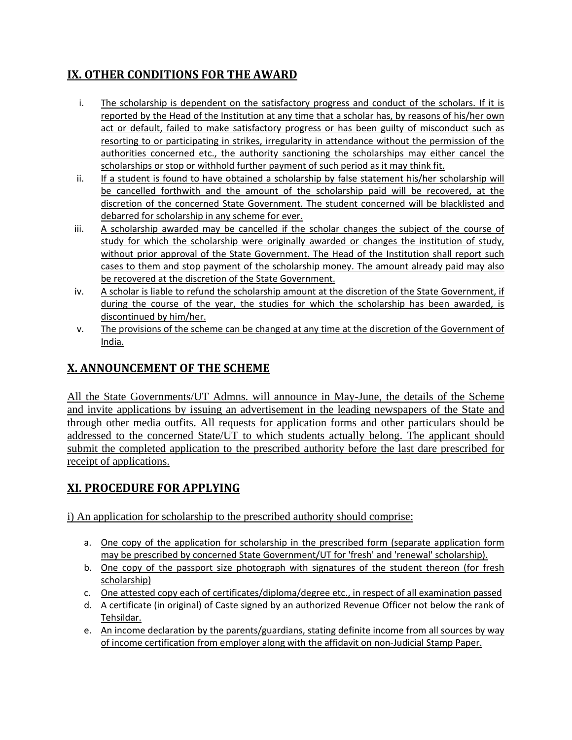## **IX. OTHER CONDITIONS FOR THE AWARD**

- i. The scholarship is dependent on the satisfactory progress and conduct of the scholars. If it is reported by the Head of the Institution at any time that a scholar has, by reasons of his/her own act or default, failed to make satisfactory progress or has been guilty of misconduct such as resorting to or participating in strikes, irregularity in attendance without the permission of the authorities concerned etc., the authority sanctioning the scholarships may either cancel the scholarships or stop or withhold further payment of such period as it may think fit.
- ii. If a student is found to have obtained a scholarship by false statement his/her scholarship will be cancelled forthwith and the amount of the scholarship paid will be recovered, at the discretion of the concerned State Government. The student concerned will be blacklisted and debarred for scholarship in any scheme for ever.
- iii. A scholarship awarded may be cancelled if the scholar changes the subject of the course of study for which the scholarship were originally awarded or changes the institution of study, without prior approval of the State Government. The Head of the Institution shall report such cases to them and stop payment of the scholarship money. The amount already paid may also be recovered at the discretion of the State Government.
- iv. A scholar is liable to refund the scholarship amount at the discretion of the State Government, if during the course of the year, the studies for which the scholarship has been awarded, is discontinued by him/her.
- v. The provisions of the scheme can be changed at any time at the discretion of the Government of India.

## **X. ANNOUNCEMENT OF THE SCHEME**

All the State Governments/UT Admns. will announce in May-June, the details of the Scheme and invite applications by issuing an advertisement in the leading newspapers of the State and through other media outfits. All requests for application forms and other particulars should be addressed to the concerned State/UT to which students actually belong. The applicant should submit the completed application to the prescribed authority before the last dare prescribed for receipt of applications.

## **XI. PROCEDURE FOR APPLYING**

i) An application for scholarship to the prescribed authority should comprise:

- a. One copy of the application for scholarship in the prescribed form (separate application form may be prescribed by concerned State Government/UT for 'fresh' and 'renewal' scholarship).
- b. One copy of the passport size photograph with signatures of the student thereon (for fresh scholarship)
- c. One attested copy each of certificates/diploma/degree etc., in respect of all examination passed
- d. A certificate (in original) of Caste signed by an authorized Revenue Officer not below the rank of Tehsildar.
- e. An income declaration by the parents/guardians, stating definite income from all sources by way of income certification from employer along with the affidavit on non-Judicial Stamp Paper.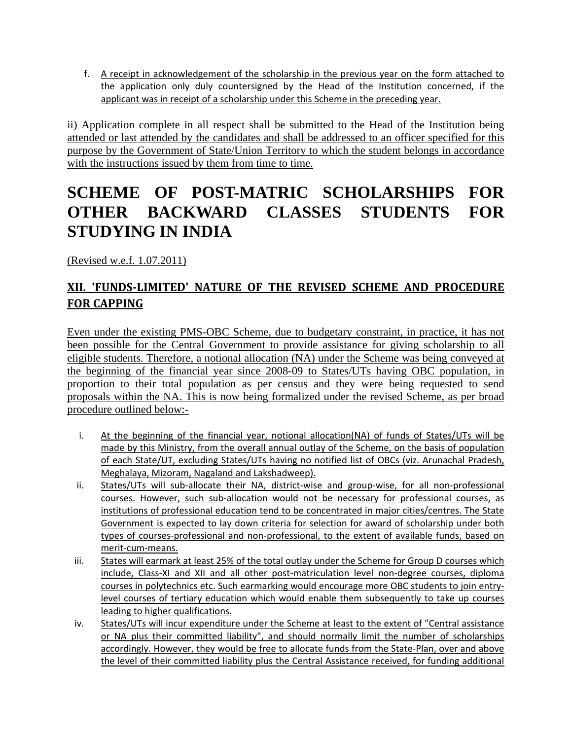f. A receipt in acknowledgement of the scholarship in the previous year on the form attached to the application only duly countersigned by the Head of the Institution concerned, if the applicant was in receipt of a scholarship under this Scheme in the preceding year.

ii) Application complete in all respect shall be submitted to the Head of the Institution being attended or last attended by the candidates and shall be addressed to an officer specified for this purpose by the Government of State/Union Territory to which the student belongs in accordance with the instructions issued by them from time to time.

## **SCHEME OF POST-MATRIC SCHOLARSHIPS FOR OTHER BACKWARD CLASSES STUDENTS FOR STUDYING IN INDIA**

(Revised w.e.f. 1.07.2011)

## **XII. 'FUNDS-LIMITED' NATURE OF THE REVISED SCHEME AND PROCEDURE FOR CAPPING**

Even under the existing PMS-OBC Scheme, due to budgetary constraint, in practice, it has not been possible for the Central Government to provide assistance for giving scholarship to all eligible students. Therefore, a notional allocation (NA) under the Scheme was being conveyed at the beginning of the financial year since 2008-09 to States/UTs having OBC population, in proportion to their total population as per census and they were being requested to send proposals within the NA. This is now being formalized under the revised Scheme, as per broad procedure outlined below:-

- i. At the beginning of the financial year, notional allocation(NA) of funds of States/UTs will be made by this Ministry, from the overall annual outlay of the Scheme, on the basis of population of each State/UT, excluding States/UTs having no notified list of OBCs (viz. Arunachal Pradesh, Meghalaya, Mizoram, Nagaland and Lakshadweep).
- ii. States/UTs will sub-allocate their NA, district-wise and group-wise, for all non-professional courses. However, such sub-allocation would not be necessary for professional courses, as institutions of professional education tend to be concentrated in major cities/centres. The State Government is expected to lay down criteria for selection for award of scholarship under both types of courses-professional and non-professional, to the extent of available funds, based on merit-cum-means.
- iii. States will earmark at least 25% of the total outlay under the Scheme for Group D courses which include, Class-XI and XII and all other post-matriculation level non-degree courses, diploma courses in polytechnics etc. Such earmarking would encourage more OBC students to join entrylevel courses of tertiary education which would enable them subsequently to take up courses leading to higher qualifications.
- iv. States/UTs will incur expenditure under the Scheme at least to the extent of "Central assistance or NA plus their committed liability", and should normally limit the number of scholarships accordingly. However, they would be free to allocate funds from the State-Plan, over and above the level of their committed liability plus the Central Assistance received, for funding additional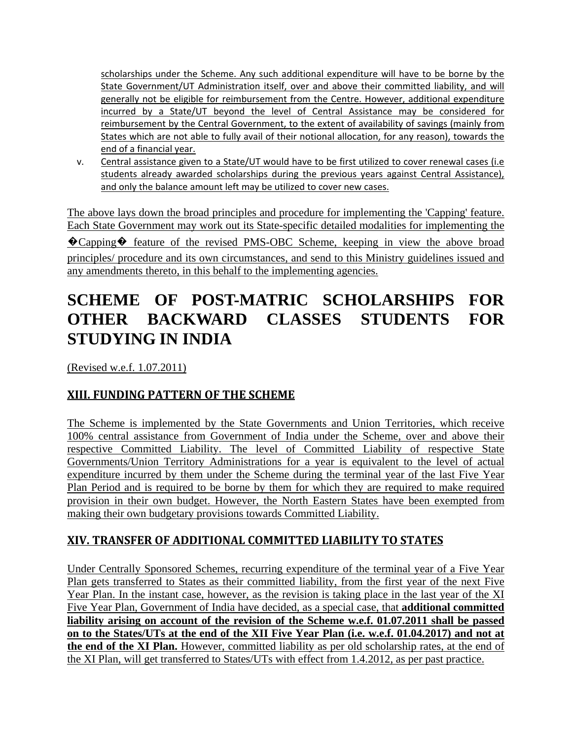scholarships under the Scheme. Any such additional expenditure will have to be borne by the State Government/UT Administration itself, over and above their committed liability, and will generally not be eligible for reimbursement from the Centre. However, additional expenditure incurred by a State/UT beyond the level of Central Assistance may be considered for reimbursement by the Central Government, to the extent of availability of savings (mainly from States which are not able to fully avail of their notional allocation, for any reason), towards the end of a financial year.

v. Central assistance given to a State/UT would have to be first utilized to cover renewal cases (i.e students already awarded scholarships during the previous years against Central Assistance), and only the balance amount left may be utilized to cover new cases.

The above lays down the broad principles and procedure for implementing the 'Capping' feature. Each State Government may work out its State-specific detailed modalities for implementing the �Capping� feature of the revised PMS-OBC Scheme, keeping in view the above broad principles/ procedure and its own circumstances, and send to this Ministry guidelines issued and any amendments thereto, in this behalf to the implementing agencies.

# **SCHEME OF POST-MATRIC SCHOLARSHIPS FOR OTHER BACKWARD CLASSES STUDENTS FOR STUDYING IN INDIA**

(Revised w.e.f. 1.07.2011)

## **XIII. FUNDING PATTERN OF THE SCHEME**

The Scheme is implemented by the State Governments and Union Territories, which receive 100% central assistance from Government of India under the Scheme, over and above their respective Committed Liability. The level of Committed Liability of respective State Governments/Union Territory Administrations for a year is equivalent to the level of actual expenditure incurred by them under the Scheme during the terminal year of the last Five Year Plan Period and is required to be borne by them for which they are required to make required provision in their own budget. However, the North Eastern States have been exempted from making their own budgetary provisions towards Committed Liability.

## **XIV. TRANSFER OF ADDITIONAL COMMITTED LIABILITY TO STATES**

Under Centrally Sponsored Schemes, recurring expenditure of the terminal year of a Five Year Plan gets transferred to States as their committed liability, from the first year of the next Five Year Plan. In the instant case, however, as the revision is taking place in the last year of the XI Five Year Plan, Government of India have decided, as a special case, that **additional committed liability arising on account of the revision of the Scheme w.e.f. 01.07.2011 shall be passed on to the States/UTs at the end of the XII Five Year Plan (i.e. w.e.f. 01.04.2017) and not at the end of the XI Plan.** However, committed liability as per old scholarship rates, at the end of the XI Plan, will get transferred to States/UTs with effect from 1.4.2012, as per past practice.